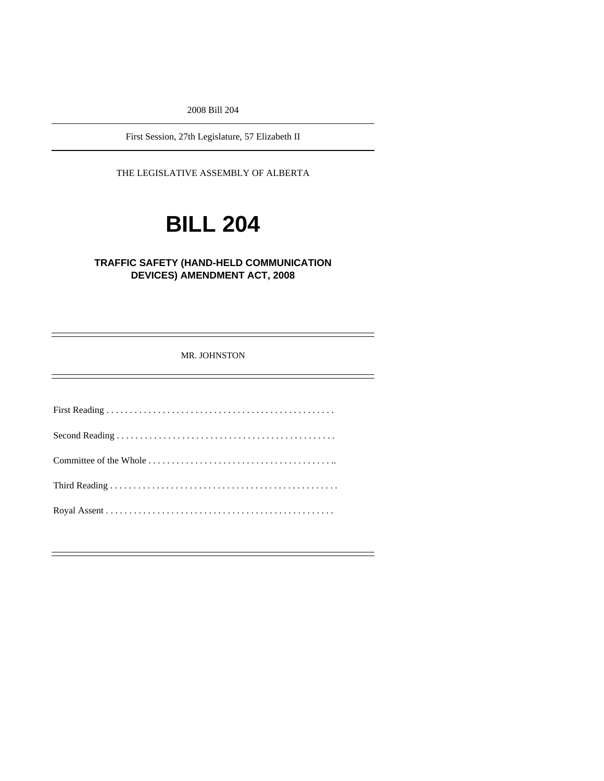2008 Bill 204

First Session, 27th Legislature, 57 Elizabeth II

THE LEGISLATIVE ASSEMBLY OF ALBERTA

# **BILL 204**

### **TRAFFIC SAFETY (HAND-HELD COMMUNICATION DEVICES) AMENDMENT ACT, 2008**

MR. JOHNSTON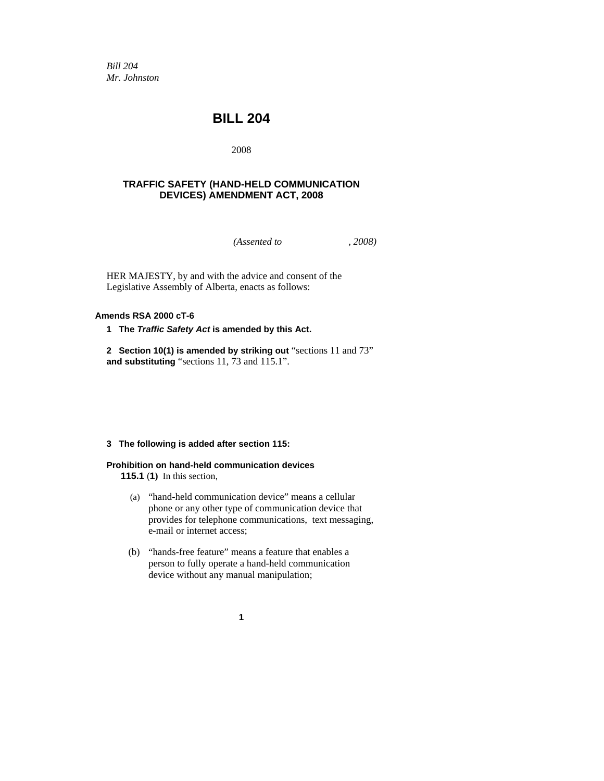*Bill 204 Mr. Johnston* 

## **BILL 204**

2008

#### **TRAFFIC SAFETY (HAND-HELD COMMUNICATION DEVICES) AMENDMENT ACT, 2008**

*(Assented to , 2008)* 

HER MAJESTY, by and with the advice and consent of the Legislative Assembly of Alberta, enacts as follows:

#### **Amends RSA 2000 cT-6**

**1 The** *Traffic Safety Act* **is amended by this Act.** 

**2 Section 10(1) is amended by striking out** "sections 11 and 73" **and substituting** "sections 11, 73 and 115.1".

#### **3 The following is added after section 115:**

#### **Prohibition on hand-held communication devices**

**115.1** (**1)** In this section,

- (a) "hand-held communication device" means a cellular phone or any other type of communication device that provides for telephone communications, text messaging, e-mail or internet access;
- (b) "hands-free feature" means a feature that enables a person to fully operate a hand-held communication device without any manual manipulation;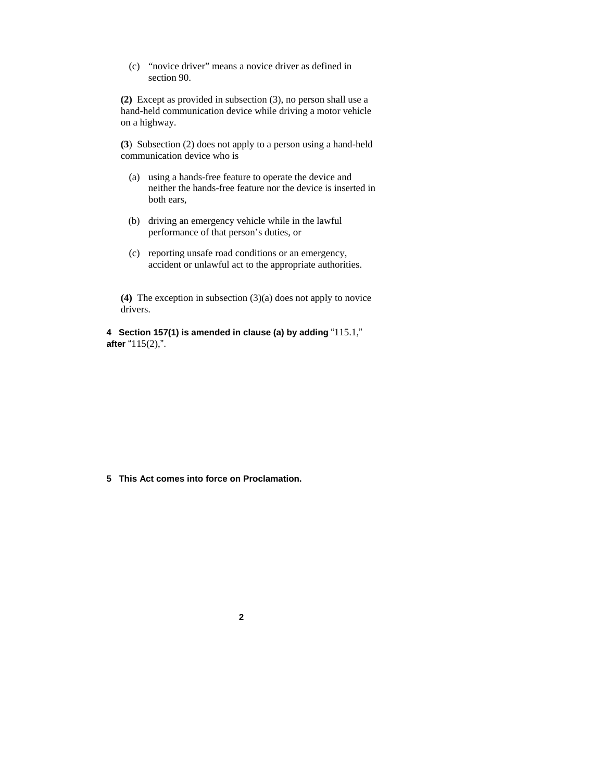(c) "novice driver" means a novice driver as defined in section 90.

**(2)** Except as provided in subsection (3), no person shall use a hand-held communication device while driving a motor vehicle on a highway.

**(3**) Subsection (2) does not apply to a person using a hand-held communication device who is

- (a) using a hands-free feature to operate the device and neither the hands-free feature nor the device is inserted in both ears,
- (b) driving an emergency vehicle while in the lawful performance of that person's duties, or
- (c) reporting unsafe road conditions or an emergency, accident or unlawful act to the appropriate authorities.

**(4)** The exception in subsection (3)(a) does not apply to novice drivers.

**4 Section 157(1) is amended in clause (a) by adding** "115.1," **after** "115(2),".

**5 This Act comes into force on Proclamation.**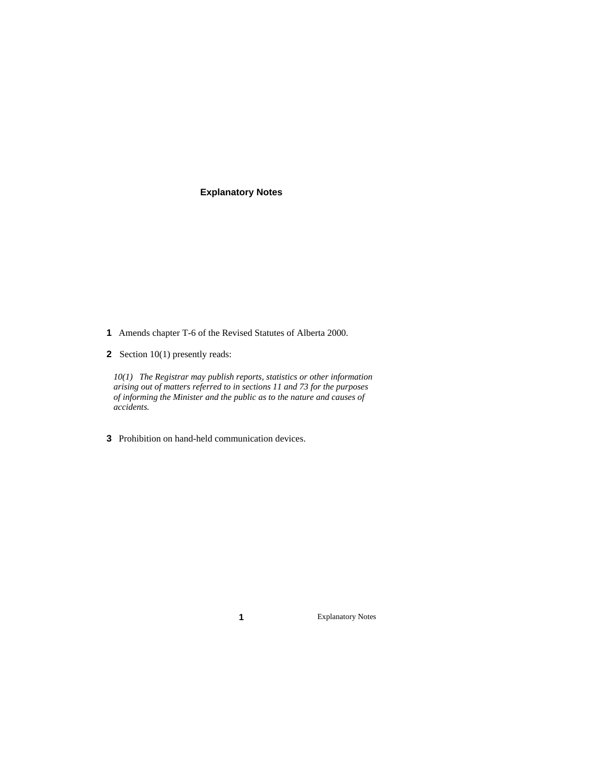#### **Explanatory Notes**

- **1** Amends chapter T-6 of the Revised Statutes of Alberta 2000.
- **2** Section 10(1) presently reads:

*10(1) The Registrar may publish reports, statistics or other information arising out of matters referred to in sections 11 and 73 for the purposes of informing the Minister and the public as to the nature and causes of accidents.* 

**3** Prohibition on hand-held communication devices.